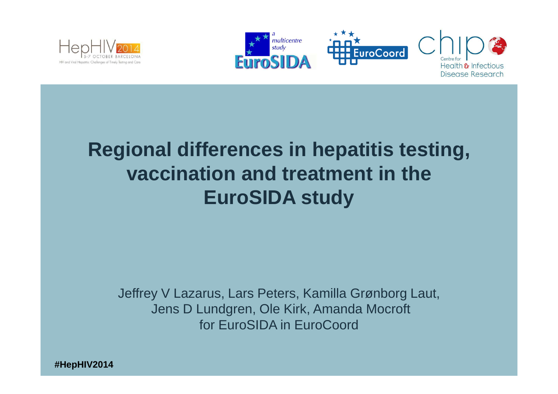



## **Regional differences in hepatitis testing, vaccination and treatment in the EuroSIDA study**

Jeffrey V Lazarus, Lars Peters, Kamilla Grønborg Laut,Jens D Lundgren, Ole Kirk, Amanda Mocroftfor EuroSIDA in EuroCoord

**#HepHIV2014**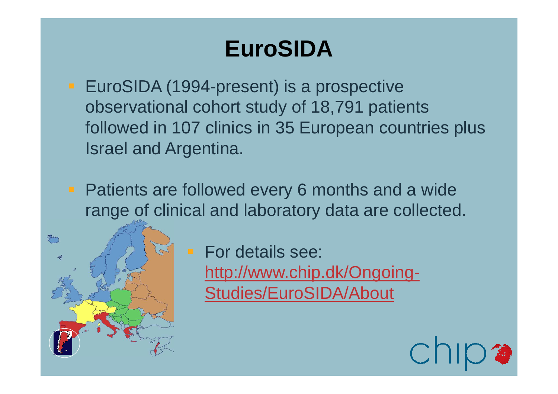## **EuroSIDA**

- **EuroSIDA (1994-present) is a prospective** observational cohort study of 18,791 patients followed in 107 clinics in 35 European countries plus Israel and Argentina.
- **Patients are followed every 6 months and a wide** range of clinical and laboratory data are collected.



 For details see: http://www.chip.dk/Ongoing-Studies/EuroSIDA/About

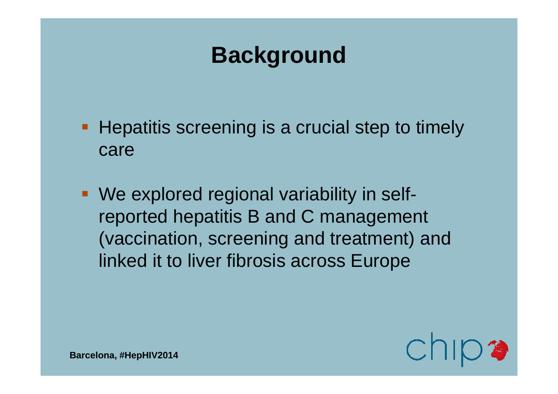## **Background**

- **Hepatitis screening is a crucial step to timely** care
- We explored regional variability in selfreported hepatitis B and C management (vaccination, screening and treatment) and linked it to liver fibrosis across Europe

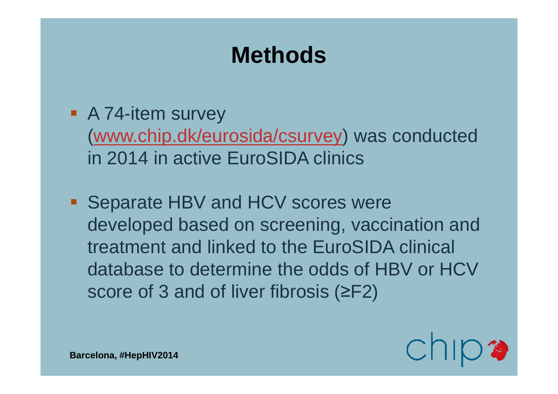## **Methods**

- A 74-item survey (www.chip.dk/eurosida/csurvey) was conducted in 2014 in active EuroSIDA clinics
- **Separate HBV and HCV scores were** developed based on screening, vaccination and treatment and linked to the EuroSIDA clinical database to determine the odds of HBV or HCV score of 3 and of liver fibrosis (≥F2)

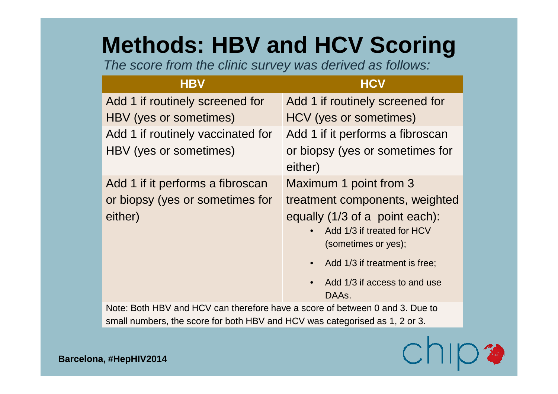## **Methods: HBV and HCV Scoring**

The score from the clinic survey was derived as follows:

### **HBV HCV**

| Add 1 if routinely screened for<br>HBV (yes or sometimes)                      | Add 1 if routinely screened for<br>HCV (yes or sometimes)                                                                                                                                                                                           |  |  |  |
|--------------------------------------------------------------------------------|-----------------------------------------------------------------------------------------------------------------------------------------------------------------------------------------------------------------------------------------------------|--|--|--|
| Add 1 if routinely vaccinated for<br>HBV (yes or sometimes)                    | Add 1 if it performs a fibroscan<br>or biopsy (yes or sometimes for<br>either)                                                                                                                                                                      |  |  |  |
| Add 1 if it performs a fibroscan<br>or biopsy (yes or sometimes for<br>either) | Maximum 1 point from 3<br>treatment components, weighted<br>equally (1/3 of a point each):<br>Add 1/3 if treated for HCV<br>(sometimes or yes);<br>Add 1/3 if treatment is free;<br>$\bullet$<br>Add 1/3 if access to and use<br>$\bullet$<br>DAAs. |  |  |  |
| Note: Both HBV and HCV can therefore have a score of between 0 and 3. Due to   |                                                                                                                                                                                                                                                     |  |  |  |

small numbers, the score for both HBV and HCV was categorised as 1, 2 or 3.

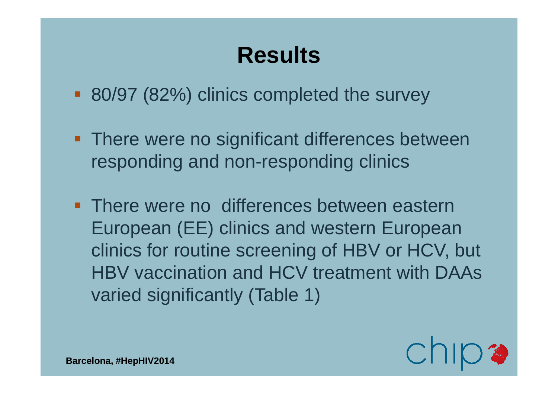- 80/97 (82%) clinics completed the survey
- **There were no significant differences between** responding and non-responding clinics
- **There were no differences between eastern** European (EE) clinics and western European clinics for routine screening of HBV or HCV, but HBV vaccination and HCV treatment with DAAs varied significantly (Table 1)

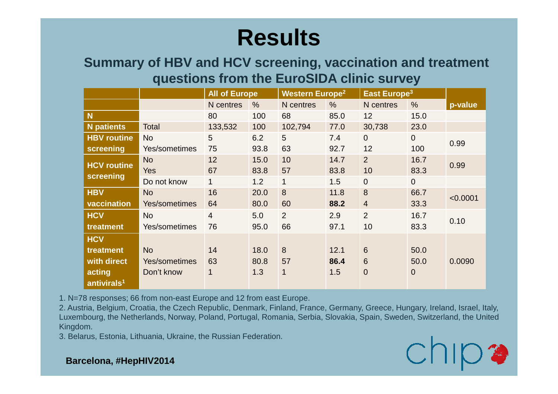### **Summary of HBV and HCV screening, vaccination and treatment questions from the EuroSIDA clinic survey**

|                         |               | <b>All of Europe</b> |               | <b>Western Europe<sup>2</sup></b> |               | East Europe <sup>3</sup> |                |          |
|-------------------------|---------------|----------------------|---------------|-----------------------------------|---------------|--------------------------|----------------|----------|
|                         |               | N centres            | $\frac{0}{0}$ | N centres                         | $\frac{0}{0}$ | N centres                | $\frac{0}{0}$  | p-value  |
| N                       |               | 80                   | 100           | 68                                | 85.0          | 12                       | 15.0           |          |
| <b>N</b> patients       | Total         | 133,532              | 100           | 102,794                           | 77.0          | 30,738                   | 23.0           |          |
| <b>HBV</b> routine      | <b>No</b>     | 5                    | 6.2           | 5                                 | 7.4           | $\overline{0}$           | $\overline{0}$ |          |
| screening               | Yes/sometimes | 75                   | 93.8          | 63                                | 92.7          | 12                       | 100            | 0.99     |
| <b>HCV routine</b>      | <b>No</b>     | 12                   | 15.0          | 10                                | 14.7          | $\overline{2}$           | 16.7           | 0.99     |
| screening               | <b>Yes</b>    | 67                   | 83.8          | 57                                | 83.8          | 10                       | 83.3           |          |
|                         | Do not know   | 1                    | 1.2           | 1                                 | 1.5           | $\mathbf 0$              | $\overline{0}$ |          |
| <b>HBV</b>              | <b>No</b>     | 16                   | 20.0          | 8                                 | 11.8          | 8                        | 66.7           | < 0.0001 |
| vaccination             | Yes/sometimes | 64                   | 80.0          | 60                                | 88.2          | $\overline{4}$           | 33.3           |          |
| <b>HCV</b>              | <b>No</b>     | 4                    | 5.0           | 2                                 | 2.9           | $\overline{2}$           | 16.7           |          |
| treatment               | Yes/sometimes | 76                   | 95.0          | 66                                | 97.1          | 10                       | 83.3           | 0.10     |
| <b>HCV</b>              |               |                      |               |                                   |               |                          |                |          |
| treatment               | <b>No</b>     | 14                   | 18.0          | 8                                 | 12.1          | $6\phantom{1}$           | 50.0           |          |
| with direct             | Yes/sometimes | 63                   | 80.8          | 57                                | 86.4          | $6\phantom{1}$           | 50.0           | 0.0090   |
| acting                  | Don't know    | 1                    | 1.3           | 1                                 | 1.5           | $\mathbf 0$              | $\overline{0}$ |          |
| antivirals <sup>1</sup> |               |                      |               |                                   |               |                          |                |          |

1. N=78 responses; 66 from non-east Europe and 12 from east Europe.

 2. Austria, Belgium, Croatia, the Czech Republic, Denmark, Finland, France, Germany, Greece, Hungary, Ireland, Israel, Italy, Luxembourg, the Netherlands, Norway, Poland, Portugal, Romania, Serbia, Slovakia, Spain, Sweden, Switzerland, the United Kingdom.

3. Belarus, Estonia, Lithuania, Ukraine, the Russian Federation.

# $ChID$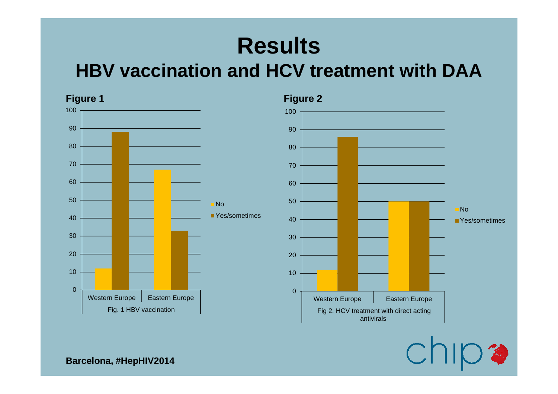## **HBV vaccination and HCV treatment with DAA**



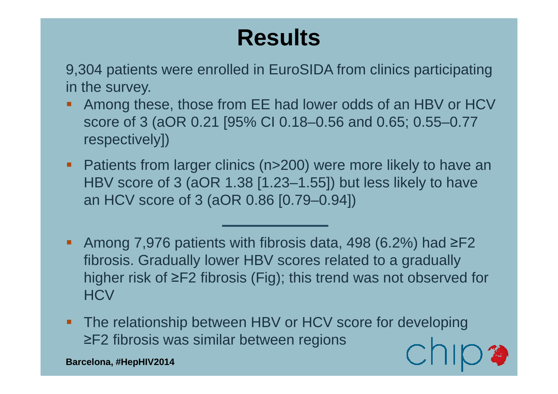9,304 patients were enrolled in EuroSIDA from clinics participating in the survey.

- Among these, those from EE had lower odds of an HBV or HCV score of 3 (aOR 0.21 [95% CI 0.18–0.56 and 0.65; 0.55–0.77 respectively])
- **Patients from larger clinics (n>200) were more likely to have an** HBV score of 3 (aOR 1.38 [1.23–1.55]) but less likely to have an HCV score of 3 (aOR 0.86 [0.79–0.94])
- Among 7,976 patients with fibrosis data, 498 (6.2%) had  $\geq$ F2 fibrosis. Gradually lower HBV scores related to a gradually higher risk of ≥F2 fibrosis (Fig); this trend was not observed for **HCV**
- **The relationship between HBV or HCV score for developing** ≥F2 fibrosis was similar between regions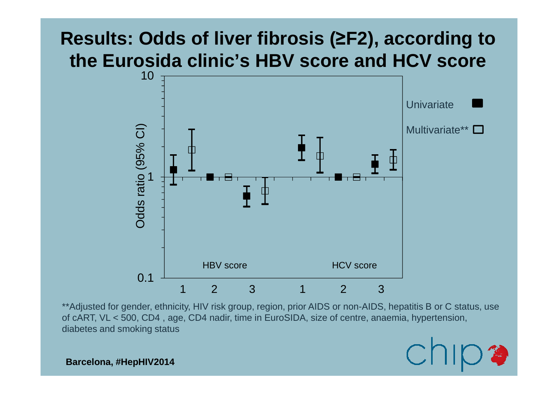### **Results: Odds of liver fibrosis (≥F2), according to the Eurosida clinic's HBV score and HCV score**



\*\*Adjusted for gender, ethnicity, HIV risk group, region, prior AIDS or non-AIDS, hepatitis B or C status, use of cART, VL < 500, CD4 , age, CD4 nadir, time in EuroSIDA, size of centre, anaemia, hypertension, diabetes and smoking status

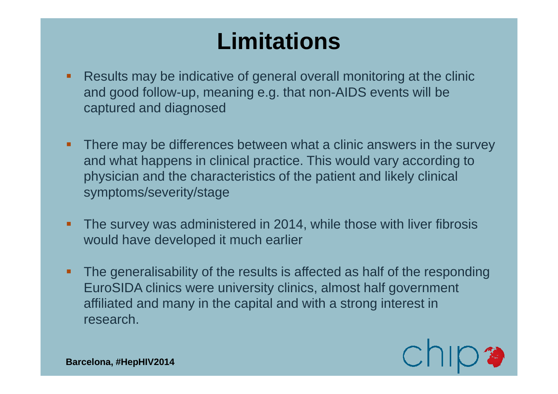## **Limitations**

- Results may be indicative of general overall monitoring at the clinic and good follow-up, meaning e.g. that non-AIDS events will be captured and diagnosed
- **There may be differences between what a clinic answers in the survey** and what happens in clinical practice. This would vary according to physician and the characteristics of the patient and likely clinical symptoms/severity/stage
- The survey was administered in 2014, while those with liver fibrosis would have developed it much earlier
- The generalisability of the results is affected as half of the responding EuroSIDA clinics were university clinics, almost half government affiliated and many in the capital and with a strong interest in research.

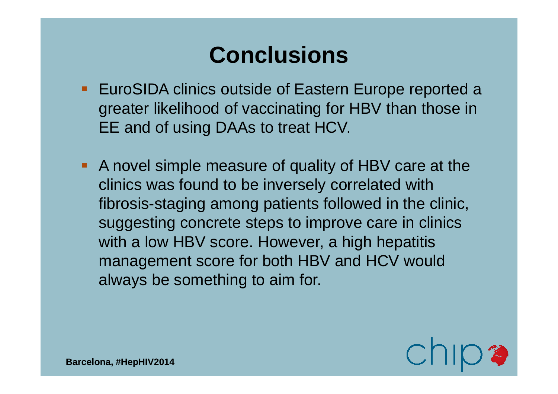## **Conclusions**

- **EuroSIDA clinics outside of Eastern Europe reported a** greater likelihood of vaccinating for HBV than those in EE and of using DAAs to treat HCV.
- A novel simple measure of quality of HBV care at the clinics was found to be inversely correlated with fibrosis-staging among patients followed in the clinic, suggesting concrete steps to improve care in clinics with a low HBV score. However, a high hepatitis management score for both HBV and HCV would always be something to aim for.

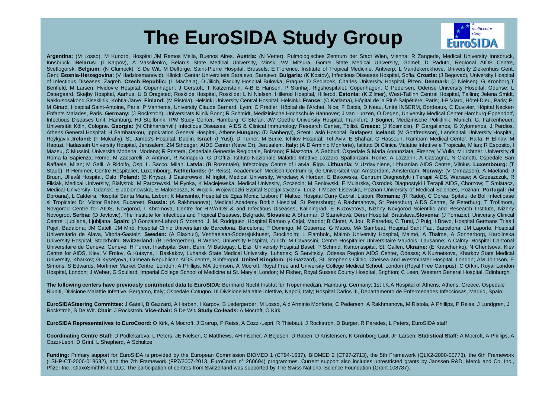## **The EuroSIDA Study Group**<br>ital JM Ramos Mejia, Buenos Aires. Austria: (N Vetter), Pulmologisches Zentrum der Stadt Wien, Vieni



**Argentina:** (M Losso), <sup>M</sup> Kundro, Hospital JM Ramos Mejia, Buenos Aires. **Austria:** (N Vetter), Pulmologisches Zentrum der Stadt Wien, Vienna; <sup>R</sup> Zangerle, Medical University Innsbruck, Innsbruck. **Belarus:** (I Karpov), <sup>A</sup> Vassilenko, Belarus State Medical University, Minsk, VM Mitsura, Gomel State Medical University, Gomel; <sup>D</sup> Paduto, Regional AIDS Centre, Svetlogorsk. **Belgium:** (N Clumeck), S De Wit, <sup>M</sup> Delforge, Saint-Pierre Hospital, Brussels; <sup>E</sup> Florence, Institute of Tropical Medicine, Antwerp; <sup>L</sup> Vandekerckhove, University Ziekenhuis Gent, Gent. **Bosnia-Herzegovina:** (V Hadziosmanovic), Klinicki Centar Univerziteta Sarajevo, Sarajevo. **Bulgaria:** (K Kostov), Infectious Diseases Hospital, Sofia. **Croatia:** (J Begovac), University Hospital of Infectious Diseases, Zagreb. **Czech Republic:** (L Machala), <sup>D</sup> Jilich, Faculty Hospital Bulovka, Prague; <sup>D</sup> Sedlacek, Charles University Hospital, Plzen. **Denmark:** (J Nielsen), G Kronborg,T Benfield, M Larsen, Hvidovre Hospital, Copenhagen; J Gerstoft, T Katzenstein, A-B E Hansen, P Skinhøj, Rigshospitalet, Copenhagen; C Pedersen, Odense University Hospital, Odense; L Ostergaard, Skejby Hospital, Aarhus, U B Dragsted, Roskilde Hospital, Roskilde; L N Nielsen, Hillerod Hospital, Hillerod. **Estonia:** (K Zilmer), West-Tallinn Central Hospital, Tallinn; Jelena Smidt, Nakkusosakond Siseklinik, Kohtla-Järve. **Finland:** (M Ristola), Helsinki University Central Hospital, Helsinki. **France:** (C Katlama), Hôpital de la Pitié-Salpétière, Paris; J-P Viard, Hôtel-Dieu, Paris; P-M Girard, Hospital Saint-Antoine, Paris; P Vanhems, University Claude Bernard, Lyon; C Pradier, Hôpital de l'Archet, Nice; F Dabis, D Neau, Unité INSERM, Bordeaux, C Duvivier, Hôpital Necker-Enfants Malades, Paris. **Germany:** (J Rockstroh), Universitäts Klinik Bonn; <sup>R</sup> Schmidt, Medizinische Hochschule Hannover; <sup>J</sup> van Lunzen, O Degen, University Medical Center Hamburg-Eppendorf, Infectious Diseases Unit, Hamburg; HJ Stellbrink, IPM Study Center, Hamburg; C Stefan, JW Goethe University Hospital, Frankfurt; J Bogner, Medizinische Poliklinik, Munich; G. Fätkenheuer, Universität Köln, Cologne. **Georgia:** (N Chkhartishvili) Infectious Diseases, AIDS & Clinical Immunology Research Center, Tbilisi. **Greece:** (J Kosmidis), <sup>P</sup> Gargalianos, G Xylomenos, <sup>J</sup> Perdios, Athens General Hospital; H Sambatakou, Ippokration General Hospital, Athens.**Hungary:** (D Banhegyi), Szent Lásló Hospital, Budapest. **Iceland:** (M Gottfredsson), Landspitali University Hospital, Reykjavik..**Ireland:** (F Mulcahy), St. James's Hospital, Dublin. **Israel:** (I Yust), <sup>D</sup> Turner, <sup>M</sup> Burke, Ichilov Hospital, Tel Aviv; <sup>E</sup> Shahar, G Hassoun, Rambam Medical Center, Haifa; <sup>H</sup> Elinav, <sup>M</sup> Haouzi, Hadassah University Hospital, Jerusalem; ZM Sthoeger, AIDS Center (Neve Or), Jerusalem. **Italy:** (A D'Arminio Monforte), Istituto Di Clinica Malattie Infettive <sup>e</sup> Tropicale, Milan; <sup>R</sup> Esposito, <sup>I</sup> Mazeu, C Mussini, Università Modena, Modena; R Pristera, Ospedale Generale Regionale, Bolzano; F Mazzotta, A Gabbuti, Ospedale S Maria Annunziata, Firenze; V Vullo, M Lichtner, University di Roma la Sapienza, Rome; M Zaccarelli, A Antinori, R Acinapura, G D'Offizi, Istituto Nazionale Malattie Infettive Lazzaro Spallanzani, Rome; A Lazzarin, A Castagna, N Gianotti, Ospedale San Raffaele, Milan; M Galli, A Ridolfo, Osp. L. Sacco, Milan. **Latvia:** (B Rozentale), Infectology Centre of Latvia, Riga. **Lithuania:** <sup>V</sup> Uzdaviniene, Lithuanian AIDS Centre, Vilnius. **Luxembourg:** (T Staub), R Hemmer, Centre Hospitalier, Luxembourg. **Netherlands:** (P Reiss), Academisch Medisch Centrum bij de Universiteit van Amsterdam, Amsterdam. **Norway:** (V Ormaasen), <sup>A</sup> Maeland, <sup>J</sup> Bruun, Ullevål Hospital, Oslo. **Poland:** (B Knysz), <sup>J</sup> Gasiorowski, <sup>M</sup> Inglot, Medical University, Wroclaw; <sup>A</sup> Horban, <sup>E</sup> Bakowska, Centrum Diagnostyki <sup>i</sup> Terapii AIDS, Warsaw; <sup>A</sup> Grzeszczuk, <sup>R</sup> Flisiak, Medical University, Bialystok; M Parczewski, M Pynka, K Maciejewska, Medical Univesity, Szczecin; M Beniowski, E Mularska, Osrodek Diagnostyki i Terapii AIDS, Chorzow; T Smiatacz, Medical University, Gdansk; E Jablonowska, E Malolepsza, K Wojcik, Wojewodzki Szpital Specjalistyczny, Lodz; <sup>I</sup> Mozer-Lisewska, Poznan University of Medical Sciences, Poznan. **Portugal:** (M Doroana), L Caldeira, Hospital Santa Maria, Lisbon; K Mansinho, Hospital de Egas Moniz, Lisbon; F Maltez, Hospital Curry Cabral, Lisbon. **Romania:** (R Radoi), C Oprea, Spitalul de Boli Infectioase si Tropicale: Dr. Victor Babes, Bucarest. **Russia:** (A Rakhmanova), Medical Academy Botkin Hospital, St Petersburg; <sup>A</sup> Rakhmanova, St Petersburg AIDS Centre, St Peterburg; <sup>T</sup> Trofimora, Novgorod Centre for AIDS, Novgorod, I Khromova, Centre for HIV/AIDS & and Infectious Diseases, Kaliningrad; E Kuzovatova, Nizhny Novgorod Scientific and Research Institute, Nizhny Novogrod. **Serbia:** (D Jevtovic), The Institute for Infectious and Tropical Diseases, Belgrade. **Slovakia:** <sup>A</sup> Shunnar, <sup>D</sup> Staneková, Dérer Hospital, Bratislava.**Slovenia:** (J Tomazic), University Clinical Centre Ljubljana, Ljubljana. **Spain:** (J González-Lahoz) S Moreno, J. M. Rodriguez, Hospital Ramon y Cajal, Madrid; B Clotet, A Jou, R Paredes, C Tural, J Puig, I Bravo, Hospital Germans Trias i Pujol, Badalona; JM Gatell, JM Miró, Hospital Clinic Universitari de Barcelona, Barcelona; P Domingo, M Gutierrez, G Mateo, MA Sambeat, Hospital Sant Pau, Barcelona; JM Laporte, Hospital Universitario de Alava, Vitoria-Gasteiz. **Sweden:** (A Blaxhult), Venhaelsan-Sodersjukhuset, Stockholm; <sup>L</sup> Flamholc, Malmö University Hospital, Malmö, <sup>A</sup> Thalme, <sup>A</sup> Sonnerborg, Karolinska University Hospital, Stockholm. **Switzerland:** (B Ledergerber), <sup>R</sup> Weber, University Hospital, Zürich; <sup>M</sup> Cavassini, Centre Hospitalier Universitaire Vaudois, Lausanne; <sup>A</sup> Calmy, Hospital Cantonal Universitaire de Geneve, Geneve; H Furrer, Inselspital Bern, Bern; M Battegay, L Elzi, University Hospital Basel; P Schmid, Kantonsspital, St. Gallen. **Ukraine:** (E Kravchenko), <sup>N</sup> Chentsova, Kiev Centre for AIDS, Kiev; V Frolov, G Kutsyna, I Baskakov, Luhansk State Medical University, Luhansk; S Servitskiy, Odessa Region AIDS Center, Odessa; <sup>A</sup> Kuznetsova, Kharkov State Medical University, Kharkov; G Kyselyova, Crimean Republican AIDS centre, Simferopol. **United Kingdom:** (B Gazzard), St. Stephen's Clinic, Chelsea and Westminster Hospital, London; AM Johnson, <sup>E</sup> Simons, S Edwards, Mortimer Market Centre, London; A Phillips, MA Johnson, A Mocroft, Royal Free and University College Medical School, London (Royal Free Campus); <sup>C</sup> Orkin, Royal London Hospital, London; J Weber, G Scullard, Imperial College School of Medicine at St. Mary's, London; M Fisher, Royal Sussex County Hospital, Brighton; <sup>C</sup> Leen, Western General Hospital, Edinburgh.

**The following centers have previously contributed data to EuroSIDA:** Bernhard Nocht Institut für Tropenmedizin, Hamburg, Germany; 1st I.K.A Hospital of Athens, Athens, Greece; OspedaleRiuniti, Divisione Malattie Infettive, Bergamo, Italy; Ospedale Cotugno, III Divisione Malattie Infettive, Napoli, Italy; Hospital Carlos III, Departamento de Enfermedades Infecciosas, Madrid, Spain;

**EuroSIDASteering Committee:** J Gatell, B Gazzard, A Horban, I Karpov, B Ledergerber, M Losso, A d'Arminio Monforte, C Pedersen, A Rakhmanova, M Ristola, A Phillips, P Reiss, J Lundgren, J Rockstroh, S De Wit. **Chair**: J Rockstroh**. Vice-chair:** S De Wit**. Study Co-leads:** A Mocroft, O Kirk

**EuroSIDA Representatives to EuroCoord:** O Kirk, <sup>A</sup> Mocroft, <sup>J</sup> Grarup, <sup>P</sup> Reiss, <sup>A</sup> Cozzi-Lepri, <sup>R</sup> Thiebaut, <sup>J</sup> Rockstroh, <sup>D</sup> Burger, <sup>R</sup> Paredes, <sup>L</sup> Peters, EuroSIDA staff

**Coordinating Centre Staff:** D Podlekareva, L Peters, JE Nielsen, C Matthews, AH Fischer, A Bojesen, D Raben, D Kristensen, K Grønborg Laut, JF Larsen. **Statistical Staff:** A Mocroft, A Phillips, A Cozzi-Lepri, D Grint, L Shepherd, A Schultze

**Funding:** Primary support for EuroSIDA is provided by the European Commission BIOMED <sup>1</sup> (CT94-1637), BIOMED <sup>2</sup> (CT97-2713), the 5th Framework (QLK2-2000-00773), the 6th Framework (LSHP-CT-2006-018632), and the 7th Framework (FP7/2007-2013, EuroCoord <sup>n</sup>° 260694) programmes. Current support also includes unrestricted grants by Janssen R&D, Merck and Co. Inc., Pfizer Inc., GlaxoSmithKline LLC. The participation of centres from Switzerland was supported by The Swiss National Science Foundation (Grant 108787).